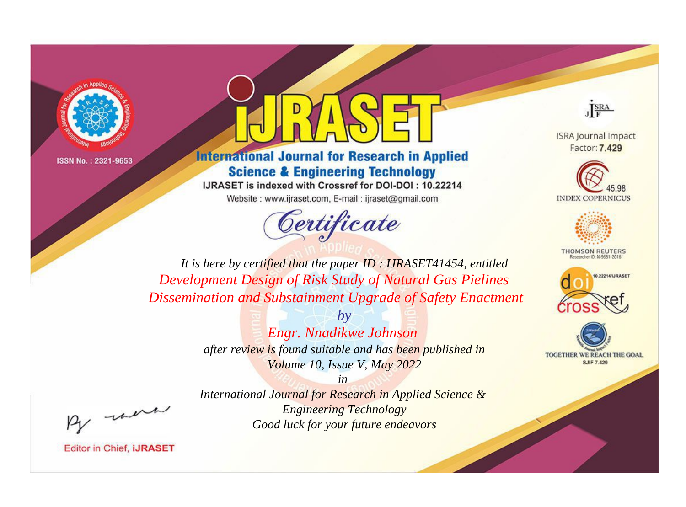



## **International Journal for Research in Applied Science & Engineering Technology**

IJRASET is indexed with Crossref for DOI-DOI: 10.22214 Website: www.ijraset.com, E-mail: ijraset@gmail.com



JERA

**ISRA Journal Impact** Factor: 7.429





**THOMSON REUTERS** 



TOGETHER WE REACH THE GOAL **SJIF 7.429** 

*It is here by certified that the paper ID : IJRASET41454, entitled Development Design of Risk Study of Natural Gas Pielines Dissemination and Substainment Upgrade of Safety Enactment*

> *by Engr. Nnadikwe Johnson after review is found suitable and has been published in Volume 10, Issue V, May 2022*

were

*International Journal for Research in Applied Science & Engineering Technology Good luck for your future endeavors*

*in*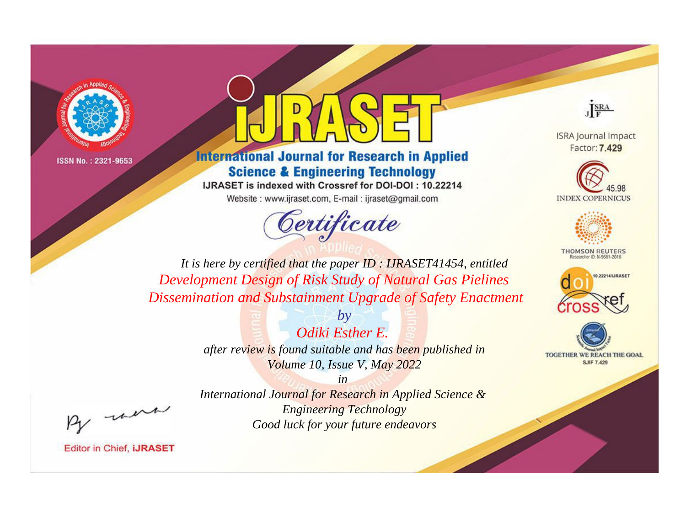



## **International Journal for Research in Applied Science & Engineering Technology**

IJRASET is indexed with Crossref for DOI-DOI: 10.22214

Website: www.ijraset.com, E-mail: ijraset@gmail.com





**ISRA Journal Impact** Factor: 7.429





**THOMSON REUTERS** 



TOGETHER WE REACH THE GOAL **SJIF 7.429** 

*It is here by certified that the paper ID : IJRASET41454, entitled Development Design of Risk Study of Natural Gas Pielines Dissemination and Substainment Upgrade of Safety Enactment*

> *by Odiki Esther E. after review is found suitable and has been published in Volume 10, Issue V, May 2022*

, un

*International Journal for Research in Applied Science & Engineering Technology Good luck for your future endeavors*

*in*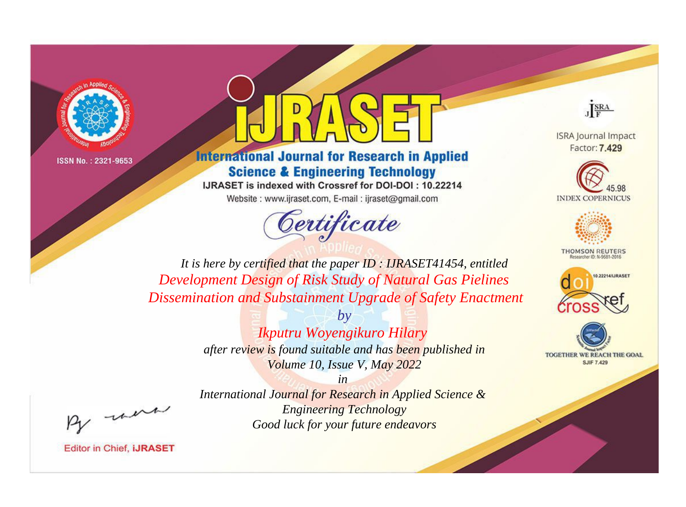



## **International Journal for Research in Applied Science & Engineering Technology**

IJRASET is indexed with Crossref for DOI-DOI: 10.22214 Website: www.ijraset.com, E-mail: ijraset@gmail.com



JERA

**ISRA Journal Impact** Factor: 7.429





**THOMSON REUTERS** 



TOGETHER WE REACH THE GOAL **SJIF 7.429** 

*It is here by certified that the paper ID : IJRASET41454, entitled Development Design of Risk Study of Natural Gas Pielines Dissemination and Substainment Upgrade of Safety Enactment*

> *by Ikputru Woyengikuro Hilary after review is found suitable and has been published in Volume 10, Issue V, May 2022*

, un

*International Journal for Research in Applied Science & Engineering Technology Good luck for your future endeavors*

*in*